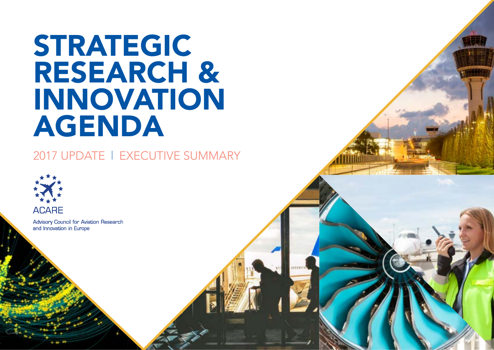# **STRATEGIC** Research & **INNOVATION AGENDA**

2017 update | executive summary



**Advisory Council for Aviation Research** and Innovation in Europe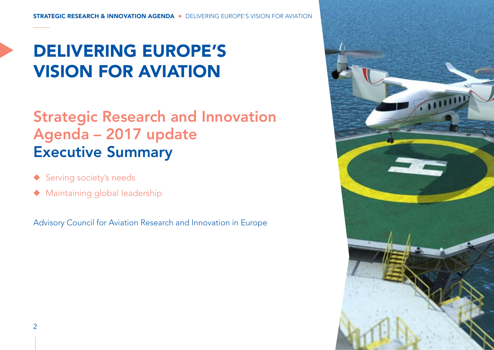# DELIVERING EUROPE'S Vision for Aviation

### Strategic Research and Innovation Agenda – 2017 update Executive Summary

- Serving society's needs
- **Maintaining global leadership**

Advisory Council for Aviation Research and Innovation in Europe

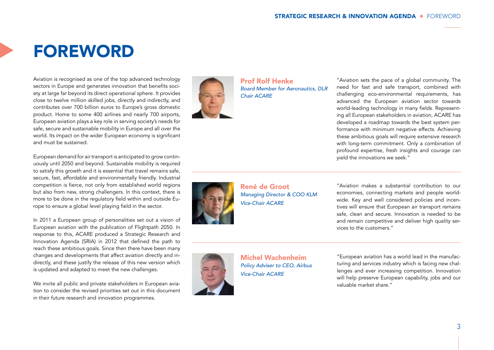# **FOREWORD**

Aviation is recognised as one of the top advanced technology sectors in Europe and generates innovation that benefits society at large far beyond its direct operational sphere. It provides close to twelve million skilled jobs, directly and indirectly, and contributes over 700 billion euros to Europe's gross domestic product. Home to some 400 airlines and nearly 700 airports, European aviation plays a key role in serving society's needs for safe, secure and sustainable mobility in Europe and all over the world. Its impact on the wider European economy is significant and must be sustained.

European demand for air transport is anticipated to grow continuously until 2050 and beyond. Sustainable mobility is required to satisfy this growth and it is essential that travel remains safe, secure, fast, affordable and environmentally friendly. Industrial competition is fierce, not only from established world regions but also from new, strong challengers. In this context, there is more to be done in the regulatory field within and outside Europe to ensure a global level playing field in the sector.

In 2011 a European group of personalities set out a vision of European aviation with the publication of Flightpath 2050. In response to this, ACARE produced a Strategic Research and Innovation Agenda (SRIA) in 2012 that defined the path to reach these ambitious goals. Since then there have been many changes and developments that affect aviation directly and indirectly, and these justify the release of this new version which is updated and adapted to meet the new challenges.

We invite all public and private stakeholders in European aviation to consider the revised priorities set out in this document in their future research and innovation programmes.



Prof Rolf Henke *Board Member for Aeronautics, DLR Chair ACARE*

"Aviation sets the pace of a global community. The need for fast and safe transport, combined with challenging eco-environmental requirements, has advanced the European aviation sector towards world-leading technology in many fields. Representing all European stakeholders in aviation, ACARE has developed a roadmap towards the best system performance with minimum negative effects. Achieving these ambitious goals will require extensive research with long-term commitment. Only a combination of profound expertise, fresh insights and courage can yield the innovations we seek."



René de Groot *Managing Director & COO KLM Vice-Chair ACARE*

"Aviation makes a substantial contribution to our economies, connecting markets and people worldwide. Key and well considered policies and incentives will ensure that European air transport remains safe, clean and secure. Innovation is needed to be and remain competitive and deliver high quality services to the customers."



Michel Wachenheim *Policy Adviser to CEO, Airbus Vice-Chair ACARE*

"European aviation has a world lead in the manufacturing and services industry which is facing new challenges and ever increasing competition. Innovation will help preserve European capability, jobs and our valuable market share."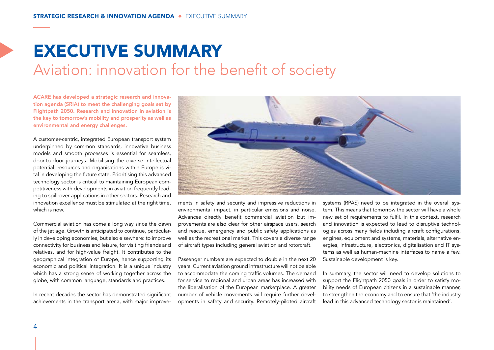# Executive Summary

Aviation: innovation for the benefit of society

ACARE has developed a strategic research and innovation agenda (SRIA) to meet the challenging goals set by Flightpath 2050. Research and innovation in aviation is the key to tomorrow's mobility and prosperity as well as environmental and energy challenges.

A customer-centric, integrated European transport system underpinned by common standards, innovative business models and smooth processes is essential for seamless, door-to-door journeys. Mobilising the diverse intellectual potential, resources and organisations within Europe is vital in developing the future state. Prioritising this advanced technology sector is critical to maintaining European competitiveness with developments in aviation frequently leading to spill-over applications in other sectors. Research and innovation excellence must be stimulated at the right time. which is now.

Commercial aviation has come a long way since the dawn of the jet age. Growth is anticipated to continue, particularly in developing economies, but also elsewhere: to improve connectivity for business and leisure, for visiting friends and relatives, and for high-value freight. It contributes to the geographical integration of Europe, hence supporting its economic and political integration. It is a unique industry which has a strong sense of working together across the globe, with common language, standards and practices.

In recent decades the sector has demonstrated significant achievements in the transport arena, with major improve-



ments in safety and security and impressive reductions in environmental impact, in particular emissions and noise. Advances directly benefit commercial aviation but improvements are also clear for other airspace users, search and rescue, emergency and public safety applications as well as the recreational market. This covers a diverse range of aircraft types including general aviation and rotorcraft.

Passenger numbers are expected to double in the next 20 years. Current aviation ground infrastructure will not be able to accommodate the coming traffic volumes. The demand for service to regional and urban areas has increased with the liberalisation of the European marketplace. A greater number of vehicle movements will require further developments in safety and security. Remotely-piloted aircraft systems (RPAS) need to be integrated in the overall system. This means that tomorrow the sector will have a whole new set of requirements to fulfil. In this context, research and innovation is expected to lead to disruptive technologies across many fields including aircraft configurations, engines, equipment and systems, materials, alternative energies, infrastructure, electronics, digitalisation and IT systems as well as human-machine interfaces to name a few. Sustainable development is key.

In summary, the sector will need to develop solutions to support the Flightpath 2050 goals in order to satisfy mobility needs of European citizens in a sustainable manner, to strengthen the economy and to ensure that 'the industry lead in this advanced technology sector is maintained'.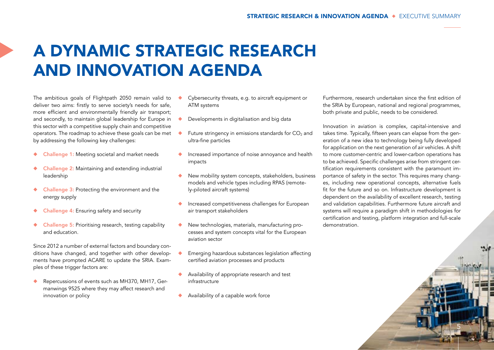# A dynamic Strategic Research and Innovation Agenda

The ambitious goals of Flightpath 2050 remain valid to deliver two aims: firstly to serve society's needs for safe, more efficient and environmentally friendly air transport; and secondly, to maintain global leadership for Europe in this sector with a competitive supply chain and competitive operators. The roadmap to achieve these goals can be met by addressing the following key challenges:

- **Challenge 1: Meeting societal and market needs**
- Challenge 2: Maintaining and extending industrial leadership
- **Challenge 3: Protecting the environment and the** energy supply
- **Challenge 4: Ensuring safety and security**
- **Challenge 5: Prioritising research, testing capability** and education.

Since 2012 a number of external factors and boundary conditions have changed, and together with other developments have prompted ACARE to update the SRIA. Examples of these trigger factors are:

Repercussions of events such as MH370, MH17, Germanwings 9525 where they may affect research and innovation or policy

- Cybersecurity threats, e.g. to aircraft equipment or ATM systems
- Developments in digitalisation and big data
- Future stringency in emissions standards for  $CO<sub>2</sub>$  and ultra-fine particles
- Increased importance of noise annoyance and health impacts
- New mobility system concepts, stakeholders, business models and vehicle types including RPAS (remotely-piloted aircraft systems)
- Increased competitiveness challenges for European air transport stakeholders
- New technologies, materials, manufacturing processes and system concepts vital for the European aviation sector
- Emerging hazardous substances legislation affecting certified aviation processes and products
- ◆ Availability of appropriate research and test infrastructure
- Availability of a capable work force

Furthermore, research undertaken since the first edition of the SRIA by European, national and regional programmes, both private and public, needs to be considered.

Innovation in aviation is complex, capital-intensive and takes time. Typically, fifteen years can elapse from the generation of a new idea to technology being fully developed for application on the next generation of air vehicles. A shift to more customer-centric and lower-carbon operations has to be achieved. Specific challenges arise from stringent certification requirements consistent with the paramount importance of safety in the sector. This requires many changes, including new operational concepts, alternative fuels fit for the future and so on. Infrastructure development is dependent on the availability of excellent research, testing and validation capabilities. Furthermore future aircraft and systems will require a paradigm shift in methodologies for certification and testing, platform integration and full-scale demonstration.

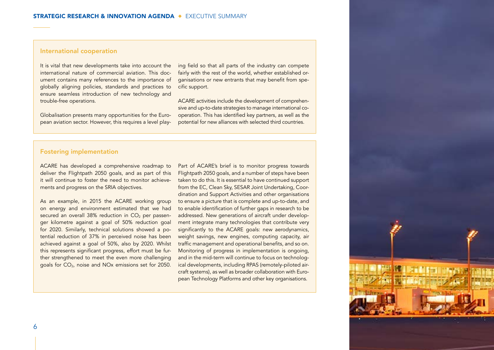#### International cooperation

It is vital that new developments take into account the international nature of commercial aviation. This document contains many references to the importance of globally aligning policies, standards and practices to ensure seamless introduction of new technology and trouble-free operations.

Globalisation presents many opportunities for the European aviation sector. However, this requires a level playing field so that all parts of the industry can compete fairly with the rest of the world, whether established organisations or new entrants that may benefit from specific support.

ACARE activities include the development of comprehensive and up-to-date strategies to manage international cooperation. This has identified key partners, as well as the potential for new alliances with selected third countries.

#### Fostering implementation

ACARE has developed a comprehensive roadmap to deliver the Flightpath 2050 goals, and as part of this it will continue to foster the need to monitor achievements and progress on the SRIA objectives.

As an example, in 2015 the ACARE working group on energy and environment estimated that we had secured an overall  $38\%$  reduction in  $CO<sub>2</sub>$  per passenger kilometre against a goal of 50% reduction goal for 2020. Similarly, technical solutions showed a potential reduction of 37% in perceived noise has been achieved against a goal of 50%, also by 2020. Whilst this represents significant progress, effort must be further strengthened to meet the even more challenging goals for  $CO<sub>2</sub>$ , noise and NO<sub>x</sub> emissions set for 2050.

Part of ACARE's brief is to monitor progress towards Flightpath 2050 goals, and a number of steps have been taken to do this. It is essential to have continued support from the EC, Clean Sky, SESAR Joint Undertaking, Coordination and Support Activities and other organisations to ensure a picture that is complete and up-to-date, and to enable identification of further gaps in research to be addressed. New generations of aircraft under development integrate many technologies that contribute very significantly to the ACARE goals: new aerodynamics, weight savings, new engines, computing capacity, air traffic management and operational benefits, and so on. Monitoring of progress in implementation is ongoing, and in the mid-term will continue to focus on technological developments, including RPAS (remotely-piloted aircraft systems), as well as broader collaboration with European Technology Platforms and other key organisations.

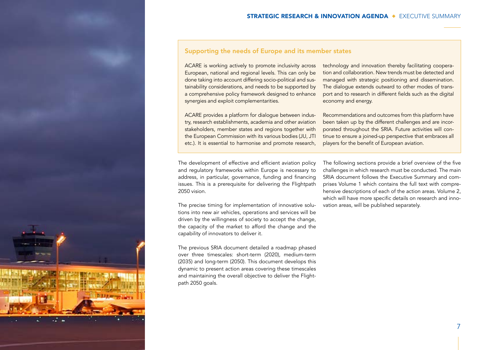#### Supporting the needs of Europe and its member states

ACARE is working actively to promote inclusivity across European, national and regional levels. This can only be done taking into account differing socio-political and sustainability considerations, and needs to be supported by a comprehensive policy framework designed to enhance synergies and exploit complementarities.

ACARE provides a platform for dialogue between industry, research establishments, academia and other aviation stakeholders, member states and regions together with the European Commission with its various bodies (JU, JTI etc.). It is essential to harmonise and promote research, technology and innovation thereby facilitating cooperation and collaboration. New trends must be detected and managed with strategic positioning and dissemination. The dialogue extends outward to other modes of transport and to research in different fields such as the digital economy and energy.

Recommendations and outcomes from this platform have been taken up by the different challenges and are incorporated throughout the SRIA. Future activities will continue to ensure a joined-up perspective that embraces all players for the benefit of European aviation.

The development of effective and efficient aviation policy and regulatory frameworks within Europe is necessary to address, in particular, governance, funding and financing issues. This is a prerequisite for delivering the Flightpath 2050 vision.

The precise timing for implementation of innovative solutions into new air vehicles, operations and services will be driven by the willingness of society to accept the change, the capacity of the market to afford the change and the capability of innovators to deliver it.

The previous SRIA document detailed a roadmap phased over three timescales: short-term (2020), medium-term (2035) and long-term (2050). This document develops this dynamic to present action areas covering these timescales and maintaining the overall objective to deliver the Flightpath 2050 goals.

The following sections provide a brief overview of the five challenges in which research must be conducted. The main SRIA document follows the Executive Summary and comprises Volume 1 which contains the full text with comprehensive descriptions of each of the action areas. Volume 2, which will have more specific details on research and innovation areas, will be published separately.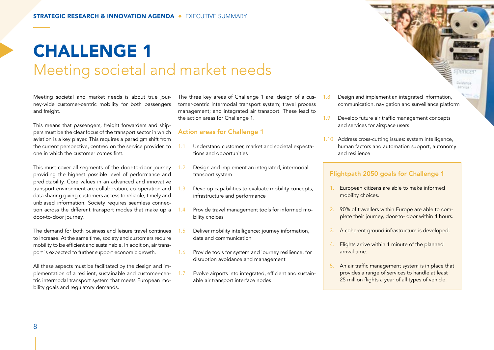## **CHALLENGE 1** Meeting societal and market needs

Meeting societal and market needs is about true journey-wide customer-centric mobility for both passengers and freight.

This means that passengers, freight forwarders and shippers must be the clear focus of the transport sector in which aviation is a key player. This requires a paradigm shift from the current perspective, centred on the service provider, to one in which the customer comes first.

This must cover all segments of the door-to-door journey providing the highest possible level of performance and predictability. Core values in an advanced and innovative transport environment are collaboration, co-operation and data sharing giving customers access to reliable, timely and unbiased information. Society requires seamless connection across the different transport modes that make up a door-to-door journey.

The demand for both business and leisure travel continues to increase. At the same time, society and customers require mobility to be efficient and sustainable. In addition, air transport is expected to further support economic growth.

All these aspects must be facilitated by the design and implementation of a resilient, sustainable and customer-centric intermodal transport system that meets European mobility goals and regulatory demands.

The three key areas of Challenge 1 are: design of a customer-centric intermodal transport system; travel process management; and integrated air transport. These lead to the action areas for Challenge 1.

#### Action areas for Challenge 1

- 1.1 Understand customer, market and societal expectations and opportunities
- Design and implement an integrated, intermodal transport system
- 1.3 Develop capabilities to evaluate mobility concepts, infrastructure and performance
- 1.4 Provide travel management tools for informed mobility choices
- 1.5 Deliver mobility intelligence: journey information, data and communication
- 1.6 Provide tools for system and journey resilience, for disruption avoidance and management
- Evolve airports into integrated, efficient and sustainable air transport interface nodes
- Design and implement an integrated information, communication, navigation and surveillance platform
- 1.9 Develop future air traffic management concepts and services for airspace users
- 1.10 Address cross-cutting issues: system intelligence, human factors and automation support, autonomy and resilience

- European citizens are able to make informed mobility choices.
- 2. 90% of travellers within Europe are able to complete their journey, door-to- door within 4 hours.
- A coherent ground infrastructure is developed.
- 4. Flights arrive within 1 minute of the planned arrival time.
- 5. An air traffic management system is in place that provides a range of services to handle at least 25 million flights a year of all types of vehicle.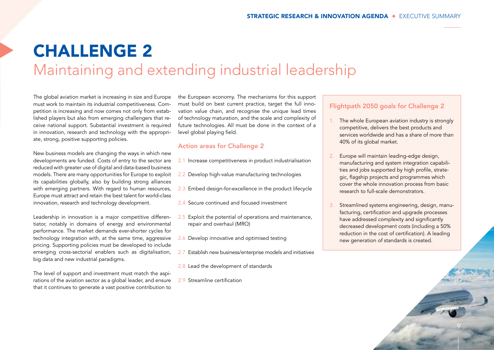# Challenge 2

### Maintaining and extending industrial leadership

The global aviation market is increasing in size and Europe must work to maintain its industrial competitiveness. Competition is increasing and now comes not only from established players but also from emerging challengers that receive national support. Substantial investment is required in innovation, research and technology with the appropriate, strong, positive supporting policies.

New business models are changing the ways in which new developments are funded. Costs of entry to the sector are reduced with greater use of digital and data-based business models. There are many opportunities for Europe to exploit its capabilities globally, also by building strong alliances with emerging partners. With regard to human resources, Europe must attract and retain the best talent for world-class innovation, research and technology development.

Leadership in innovation is a major competitive differentiator, notably in domains of energy and environmental performance. The market demands ever-shorter cycles for technology integration with, at the same time, aggressive pricing. Supporting policies must be developed to include emerging cross-sectorial enablers such as digitalisation, big data and new industrial paradigms.

The level of support and investment must match the aspirations of the aviation sector as a global leader, and ensure that it continues to generate a vast positive contribution to

the European economy. The mechanisms for this support must build on best current practice, target the full innovation value chain, and recognise the unique lead times of technology maturation, and the scale and complexity of future technologies. All must be done in the context of a level global playing field.

#### Action areas for Challenge 2

- 2.1 Increase competitiveness in product industrialisation
- 2.2 Develop high-value manufacturing technologies
- 2.3 Embed design-for-excellence in the product lifecycle
- 2.4 Secure continued and focused investment
- 2.5 Exploit the potential of operations and maintenance, repair and overhaul (MRO)
- 2.6 Develop innovative and optimised testing
- 2.7 Establish new business/enterprise models and initiatives
- 2.8 Lead the development of standards
- 2.9 Streamline certification

#### Flightpath 2050 goals for Challenge 2

- The whole European aviation industry is strongly competitive, delivers the best products and services worldwide and has a share of more than 40% of its global market.
- Europe will maintain leading-edge design, manufacturing and system integration capabilities and jobs supported by high profile, strategic, flagship projects and programmes which cover the whole innovation process from basic research to full-scale demonstrators.
- 3. Streamlined systems engineering, design, manufacturing, certification and upgrade processes have addressed complexity and significantly decreased development costs (including a 50% reduction in the cost of certification). A leading new generation of standards is created.

9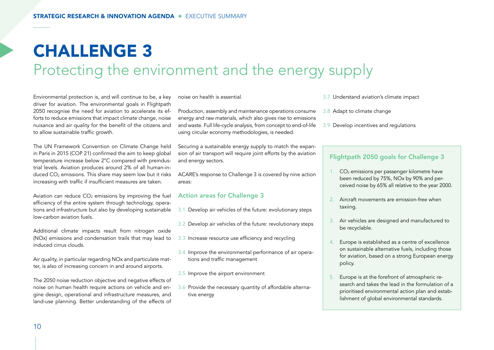# Challenge 3

### Protecting the environment and the energy supply

Environmental protection is, and will continue to be, a key driver for aviation. The environmental goals in Flightpath 2050 recognise the need for aviation to accelerate its efforts to reduce emissions that impact climate change, noise nuisance and air quality for the benefit of the citizens and to allow sustainable traffic growth.

The UN Framework Convention on Climate Change held in Paris in 2015 (COP 21) confirmed the aim to keep global temperature increase below 2°C compared with preindustrial levels. Aviation produces around 2% of all human-induced  $CO<sub>2</sub>$  emissions. This share may seem low but it risks increasing with traffic if insufficient measures are taken.

Aviation can reduce  $CO<sub>2</sub>$  emissions by improving the fuel efficiency of the entire system through technology, operations and infrastructure but also by developing sustainable low-carbon aviation fuels.

Additional climate impacts result from nitrogen oxide (NOx) emissions and condensation trails that may lead to induced cirrus clouds.

Air quality, in particular regarding NOx and particulate matter, is also of increasing concern in and around airports.

The 2050 noise reduction objective and negative effects of noise on human health require actions on vehicle and engine design, operational and infrastructure measures, and land-use planning. Better understanding of the effects of noise on health is essential.

Production, assembly and maintenance operations consume energy and raw materials, which also gives rise to emissions and waste. Full life-cycle analysis, from concept to end-of-life using circular economy methodologies, is needed.

Securing a sustainable energy supply to match the expansion of air transport will require joint efforts by the aviation and energy sectors.

ACARE's response to Challenge 3 is covered by nine action areas:

#### Action areas for Challenge 3

- 3.1 Develop air vehicles of the future: evolutionary steps
- 3.2 Develop air vehicles of the future: revolutionary steps
- 3.3 Increase resource use efficiency and recycling
- 3.4 Improve the environmental performance of air operations and traffic management
- 3.5 Improve the airport environment
- 3.6 Provide the necessary quantity of affordable alternative energy
- 3.7 Understand aviation's climate impact
- 3.8 Adapt to climate change
- 3.9 Develop incentives and regulations

- 1.  $CO<sub>2</sub>$  emissions per passenger kilometre have been reduced by 75%, NOx by 90% and perceived noise by 65% all relative to the year 2000.
- 2. Aircraft movements are emission-free when taxiing.
- 3. Air vehicles are designed and manufactured to be recyclable.
- 4. Europe is established as a centre of excellence on sustainable alternative fuels, including those for aviation, based on a strong European energy policy.
- 5. Europe is at the forefront of atmospheric research and takes the lead in the formulation of a prioritised environmental action plan and establishment of global environmental standards.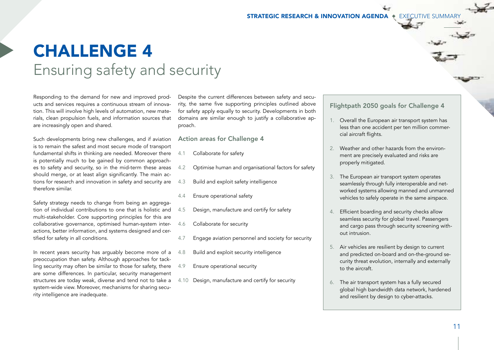## Challenge 4 Ensuring safety and security

Responding to the demand for new and improved products and services requires a continuous stream of innovation. This will involve high levels of automation, new materials, clean propulsion fuels, and information sources that are increasingly open and shared.

Such developments bring new challenges, and if aviation is to remain the safest and most secure mode of transport fundamental shifts in thinking are needed. Moreover there is potentially much to be gained by common approaches to safety and security, so in the mid-term these areas should merge, or at least align significantly. The main actions for research and innovation in safety and security are therefore similar.

Safety strategy needs to change from being an aggregation of individual contributions to one that is holistic and multi-stakeholder. Core supporting principles for this are collaborative governance, optimised human-system interactions, better information, and systems designed and certified for safety in all conditions.

In recent years security has arguably become more of a preoccupation than safety. Although approaches for tackling security may often be similar to those for safety, there are some differences. In particular, security management structures are today weak, diverse and tend not to take a system-wide view. Moreover, mechanisms for sharing security intelligence are inadequate.

Despite the current differences between safety and security, the same five supporting principles outlined above for safety apply equally to security. Developments in both domains are similar enough to justify a collaborative approach.

#### Action areas for Challenge 4

- 4.1 Collaborate for safety
- 4.2 Optimise human and organisational factors for safety
- 4.3 Build and exploit safety intelligence
- 4.4 Ensure operational safety
- 4.5 Design, manufacture and certify for safety
- 4.6 Collaborate for security
- 4.7 Engage aviation personnel and society for security
- 4.8 Build and exploit security intelligence
- 4.9 Ensure operational security
- 4.10 Design, manufacture and certify for security

- 1. Overall the European air transport system has less than one accident per ten million commercial aircraft flights.
- 2. Weather and other hazards from the environment are precisely evaluated and risks are properly mitigated.
- 3. The European air transport system operates seamlessly through fully interoperable and networked systems allowing manned and unmanned vehicles to safely operate in the same airspace.
- 4. Efficient boarding and security checks allow seamless security for global travel. Passengers and cargo pass through security screening without intrusion.
- 5. Air vehicles are resilient by design to current and predicted on-board and on-the-ground security threat evolution, internally and externally to the aircraft.
- 6. The air transport system has a fully secured global high bandwidth data network, hardened and resilient by design to cyber-attacks.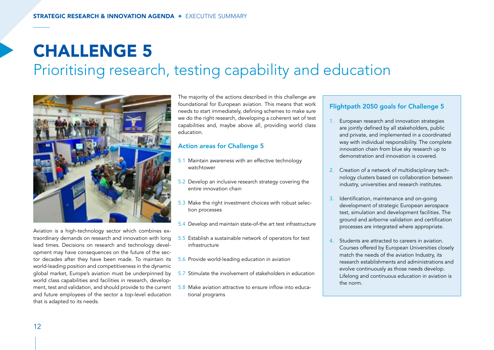# Challenge 5

### Prioritising research, testing capability and education



Aviation is a high-technology sector which combines extraordinary demands on research and innovation with long lead times. Decisions on research and technology development may have consequences on the future of the sector decades after they have been made. To maintain its world-leading position and competitiveness in the dynamic global market, Europe's aviation must be underpinned by world class capabilities and facilities in research, development, test and validation, and should provide to the current and future employees of the sector a top-level education that is adapted to its needs.

The majority of the actions described in this challenge are foundational for European aviation. This means that work needs to start immediately, defining schemes to make sure we do the right research, developing a coherent set of test capabilities and, maybe above all, providing world class education.

#### Action areas for Challenge 5

- 5.1 Maintain awareness with an effective technology watchtower
- 5.2 Develop an inclusive research strategy covering the entire innovation chain
- 5.3 Make the right investment choices with robust selection processes
- 5.4 Develop and maintain state-of-the art test infrastructure
- 5.5 Establish a sustainable network of operators for test infrastructure
- 5.6 Provide world-leading education in aviation
- 5.7 Stimulate the involvement of stakeholders in education
- 5.8 Make aviation attractive to ensure inflow into educational programs

- 1. European research and innovation strategies are jointly defined by all stakeholders, public and private, and implemented in a coordinated way with individual responsibility. The complete innovation chain from blue sky research up to demonstration and innovation is covered.
- 2. Creation of a network of multidisciplinary technology clusters based on collaboration between industry, universities and research institutes.
- 3. Identification, maintenance and on-going development of strategic European aerospace test, simulation and development facilities. The ground and airborne validation and certification processes are integrated where appropriate.
- 4. Students are attracted to careers in aviation. Courses offered by European Universities closely match the needs of the aviation Industry, its research establishments and administrations and evolve continuously as those needs develop. Lifelong and continuous education in aviation is the norm.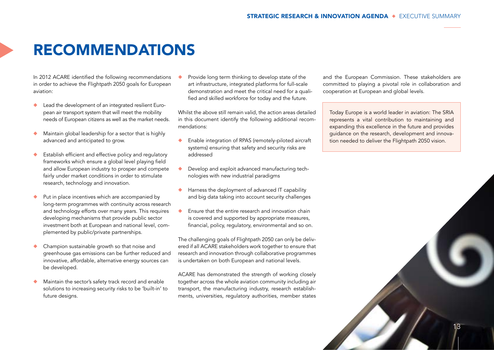### **RECOMMENDATIONS**

In 2012 ACARE identified the following recommendations in order to achieve the Flightpath 2050 goals for European aviation:

- Lead the development of an integrated resilient European air transport system that will meet the mobility needs of European citizens as well as the market needs.
- Maintain global leadership for a sector that is highly advanced and anticipated to grow.
- Establish efficient and effective policy and regulatory frameworks which ensure a global level playing field and allow European industry to prosper and compete fairly under market conditions in order to stimulate research, technology and innovation.
- Put in place incentives which are accompanied by long-term programmes with continuity across research and technology efforts over many years. This requires developing mechanisms that provide public sector investment both at European and national level, complemented by public/private partnerships.
- Champion sustainable growth so that noise and greenhouse gas emissions can be further reduced and innovative, affordable, alternative energy sources can be developed.
- Maintain the sector's safety track record and enable solutions to increasing security risks to be 'built-in' to future desians.

Provide long term thinking to develop state of the art infrastructure, integrated platforms for full-scale demonstration and meet the critical need for a qualified and skilled workforce for today and the future.

Whilst the above still remain valid, the action areas detailed in this document identify the following additional recommendations:

- ◆ Enable integration of RPAS (remotely-piloted aircraft) systems) ensuring that safety and security risks are addressed
- Develop and exploit advanced manufacturing technologies with new industrial paradigms
- Harness the deployment of advanced IT capability and big data taking into account security challenges
- Ensure that the entire research and innovation chain is covered and supported by appropriate measures, financial, policy, regulatory, environmental and so on.

The challenging goals of Flightpath 2050 can only be delivered if all ACARE stakeholders work together to ensure that research and innovation through collaborative programmes is undertaken on both European and national levels.

ACARE has demonstrated the strength of working closely together across the whole aviation community including air transport, the manufacturing industry, research establishments, universities, regulatory authorities, member states and the European Commission. These stakeholders are committed to playing a pivotal role in collaboration and cooperation at European and global levels.

Today Europe is a world leader in aviation: The SRIA represents a vital contribution to maintaining and expanding this excellence in the future and provides guidance on the research, development and innovation needed to deliver the Flightpath 2050 vision.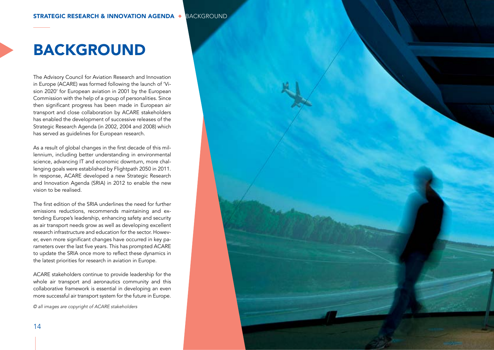### **BACKGROUND**

The Advisory Council for Aviation Research and Innovation in Europe (ACARE) was formed following the launch of 'Vision 2020' for European aviation in 2001 by the European Commission with the help of a group of personalities. Since then significant progress has been made in European air transport and close collaboration by ACARE stakeholders has enabled the development of successive releases of the Strategic Research Agenda (in 2002, 2004 and 2008) which has served as guidelines for European research.

As a result of global changes in the first decade of this millennium, including better understanding in environmental science, advancing IT and economic downturn, more challenging goals were established by Flightpath 2050 in 2011. In response, ACARE developed a new Strategic Research and Innovation Agenda (SRIA) in 2012 to enable the new vision to be realised.

The first edition of the SRIA underlines the need for further emissions reductions, recommends maintaining and extending Europe's leadership, enhancing safety and security as air transport needs grow as well as developing excellent research infrastructure and education for the sector. However, even more significant changes have occurred in key parameters over the last five years. This has prompted ACARE to update the SRIA once more to reflect these dynamics in the latest priorities for research in aviation in Europe.

ACARE stakeholders continue to provide leadership for the whole air transport and aeronautics community and this collaborative framework is essential in developing an even more successful air transport system for the future in Europe.

*© all images are copyright of ACARE stakeholders*

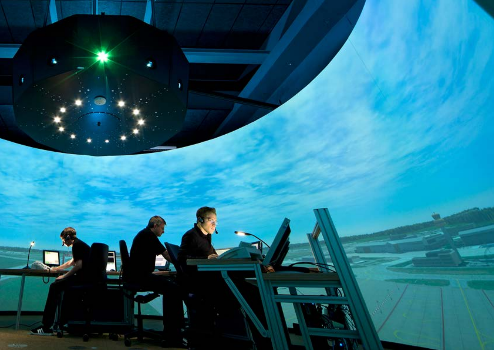